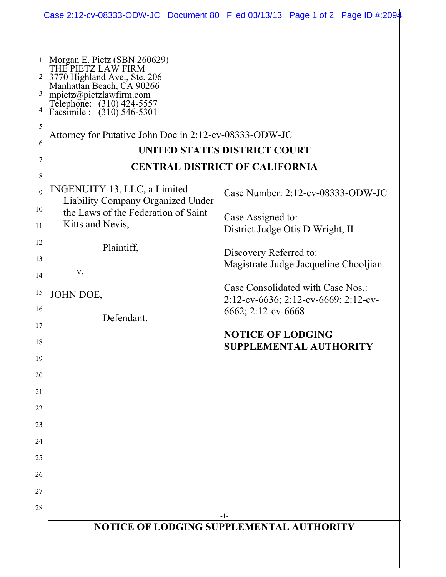|                                                                                                   |                                                                                                                                                                                                                                                                                                                                                                                                                                                       | Case 2:12-cv-08333-ODW-JC Document 80 Filed 03/13/13 Page 1 of 2 Page ID #:2094                                                                                                                                                                                                                                                           |
|---------------------------------------------------------------------------------------------------|-------------------------------------------------------------------------------------------------------------------------------------------------------------------------------------------------------------------------------------------------------------------------------------------------------------------------------------------------------------------------------------------------------------------------------------------------------|-------------------------------------------------------------------------------------------------------------------------------------------------------------------------------------------------------------------------------------------------------------------------------------------------------------------------------------------|
| $3\vert$<br>6<br>8<br>$\overline{9}$<br>10 <sup>1</sup><br>11<br>12<br>13<br>14<br>15<br>16<br>17 | Morgan E. Pietz (SBN 260629)<br>THE PIETZ LAW FIRM<br>3770 Highland Ave., Ste. 206<br>Manhattan Beach, CA 90266<br>mpietz@pietzlawfirm.com<br>Telephone: (310) 424-5557<br>Facsimile : (310) 546-5301<br>Attorney for Putative John Doe in 2:12-cv-08333-ODW-JC<br>INGENUITY 13, LLC, a Limited<br><b>Liability Company Organized Under</b><br>the Laws of the Federation of Saint<br>Kitts and Nevis,<br>Plaintiff,<br>V.<br>JOHN DOE,<br>Defendant. | UNITED STATES DISTRICT COURT<br><b>CENTRAL DISTRICT OF CALIFORNIA</b><br>Case Number: 2:12-cv-08333-ODW-JC<br>Case Assigned to:<br>District Judge Otis D Wright, II<br>Discovery Referred to:<br>Magistrate Judge Jacqueline Chooljian<br>Case Consolidated with Case Nos.:<br>2:12-cv-6636; 2:12-cv-6669; 2:12-cv-<br>6662; 2:12-cv-6668 |
| 18                                                                                                |                                                                                                                                                                                                                                                                                                                                                                                                                                                       | <b>NOTICE OF LODGING</b>                                                                                                                                                                                                                                                                                                                  |
| 19<br>20                                                                                          |                                                                                                                                                                                                                                                                                                                                                                                                                                                       | <b>SUPPLEMENTAL AUTHORITY</b>                                                                                                                                                                                                                                                                                                             |
| 21<br>22                                                                                          |                                                                                                                                                                                                                                                                                                                                                                                                                                                       |                                                                                                                                                                                                                                                                                                                                           |
| 23<br>24                                                                                          |                                                                                                                                                                                                                                                                                                                                                                                                                                                       |                                                                                                                                                                                                                                                                                                                                           |
| 25<br>26                                                                                          |                                                                                                                                                                                                                                                                                                                                                                                                                                                       |                                                                                                                                                                                                                                                                                                                                           |
| 27<br>28                                                                                          |                                                                                                                                                                                                                                                                                                                                                                                                                                                       | -1-                                                                                                                                                                                                                                                                                                                                       |
|                                                                                                   | NOTICE OF LODGING SUPPLEMENTAL AUTHORITY                                                                                                                                                                                                                                                                                                                                                                                                              |                                                                                                                                                                                                                                                                                                                                           |
|                                                                                                   |                                                                                                                                                                                                                                                                                                                                                                                                                                                       |                                                                                                                                                                                                                                                                                                                                           |